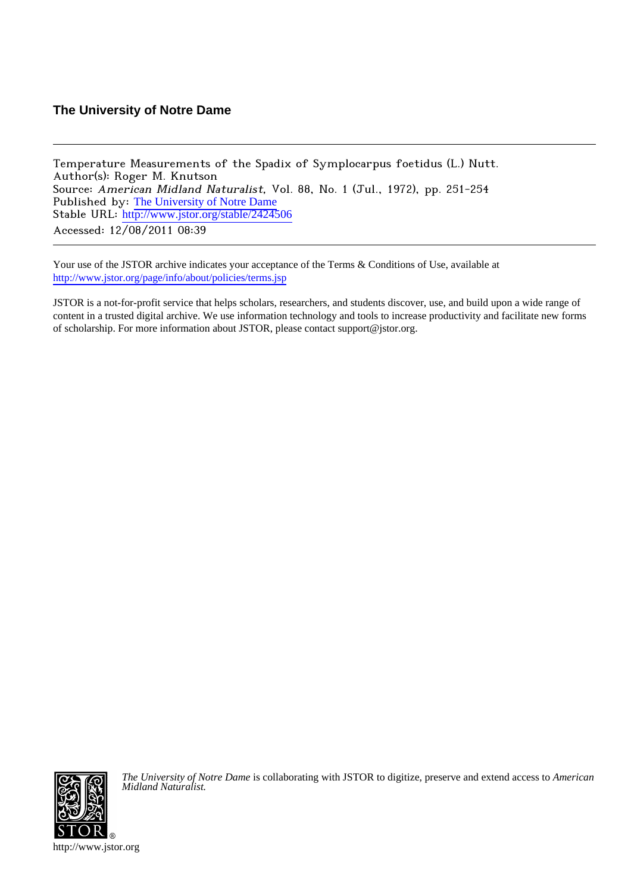# **The University of Notre Dame**

Temperature Measurements of the Spadix of Symplocarpus foetidus (L.) Nutt. Author(s): Roger M. Knutson Source: American Midland Naturalist, Vol. 88, No. 1 (Jul., 1972), pp. 251-254 Published by: [The University of Notre Dame](http://www.jstor.org/action/showPublisher?publisherCode=notredame) Stable URL: [http://www.jstor.org/stable/2424506](http://www.jstor.org/stable/2424506?origin=JSTOR-pdf) Accessed: 12/08/2011 08:39

Your use of the JSTOR archive indicates your acceptance of the Terms & Conditions of Use, available at <http://www.jstor.org/page/info/about/policies/terms.jsp>

JSTOR is a not-for-profit service that helps scholars, researchers, and students discover, use, and build upon a wide range of content in a trusted digital archive. We use information technology and tools to increase productivity and facilitate new forms of scholarship. For more information about JSTOR, please contact support@jstor.org.



*The University of Notre Dame* is collaborating with JSTOR to digitize, preserve and extend access to *American Midland Naturalist.*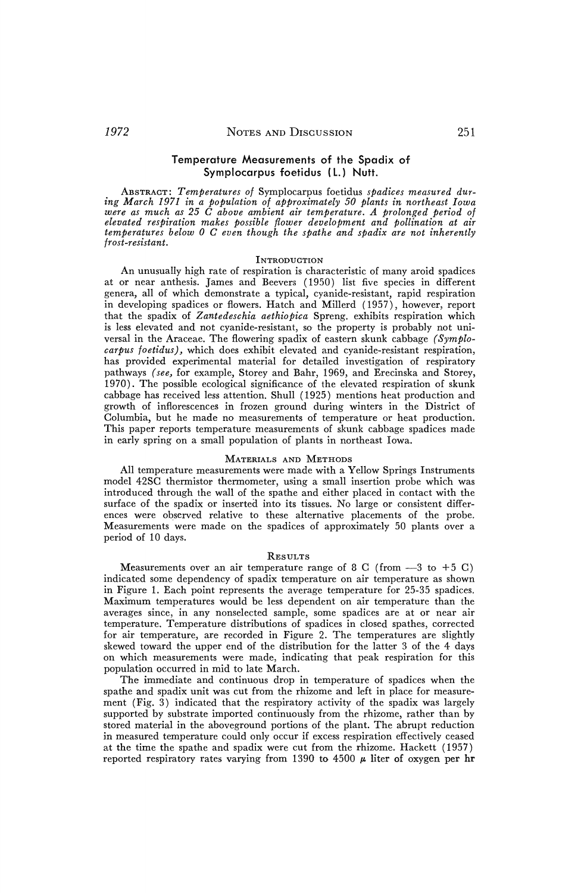# **Temperature Measurements of the Spadix of Symplocarpus foetidus (L.) Nutt.**

**ABSTRACT: Temperatures of Symplocarpus foetidus spadices measured during March 1971 in a Population of approximately 50 plants in northeast Iowa were as much as 25 C above ambient air temperature. A prolonged period of elevated respiration makes possible flower development and pollination at air temperatures below 0 C even though the spathe and spadix are not inherently frost-resistant.** 

## **INTRODUCTION**

**An unusually high rate of respiration is characteristic of many aroid spadices at or near anthesis. James and Beevers (1950) list five species in different genera, all of which demonstrate a typical, cyanide-resistant, rapid respiration in developing spadices or flowers. Hatch and Millerd (1957), however, report that the spadix of Zantedeschia aethiopica Spreng. exhibits respiration which is less elevated and not cyanide-resistant, so the property is probably not universal in the Araceae. The flowering spadix of eastern skunk cabbage (Symplocarpus foetidus), which does exhibit elevated and cyanide-resistant respiration, has provided experimental material for detailed investigation of respiratory pathways (see, for example, Storey and Bahr, 1969, and Erecinska and Storey, 1970). The possible ecological significance of the elevated respiration of skunk cabbage has received less attention. Shull (1925) mentions heat production and growth of inflorescences in frozen ground during winters in the District of Columbia, but he made no measurements of temperature or heat production. This paper reports temperature measurements of skunk cabbage spadices made in early spring on a small population of plants in northeast Iowa.** 

### **MATERIALS AND METHODS**

**All temperature measurements were made with a Yellow Springs Instruments model 42SC thermistor thermometer, using a small insertion probe which was introduced through the wall of the spathe and either placed in contact with the**  surface of the spadix or inserted into its tissues. No large or consistent differ**ences were observed relative to these alternative placements of the probe. Measurements were made on the spadices of approximately 50 plants over a period of 10 days.** 

#### **RESULTS**

**Measurements over an air temperature range of 8 C (from**  $-3$  **to +5 C) indicated some dependency of spadix temperature on air temperature as shown in Figure 1. Each point represents the average temperature for 25-35 spadices. Maximum temperatures would be less dependent on air temperature than the averages since, in any nonselected sample, some spadices are at or near air temperature. Temperature distributions of spadices in closed spathes, corrected for air temperature, are recorded in Figure 2. The temperatures are slightly skewed toward the upper end of the distribution for the latter 3 of the 4 days on which measurements were made, indicating that peak respiration for this population occurred in mid to late March.** 

**The immediate and continuous drop in temperature of spadices when the spathe and spadix unit was cut from the rhizome and left in place for measurement (Fig. 3) indicated that the respiratory activity of the spadix was largely supported by substrate imported continuously from the rhizome, rather than by stored material in the aboveground portions of the plant. The abrupt reduction in measured temperature could only occur if excess respiration effectively ceased at the time the spathe and spadix were cut from the rhizome. Hackett (1957)**  reported respiratory rates varying from 1390 to 4500  $\mu$  liter of oxygen per hr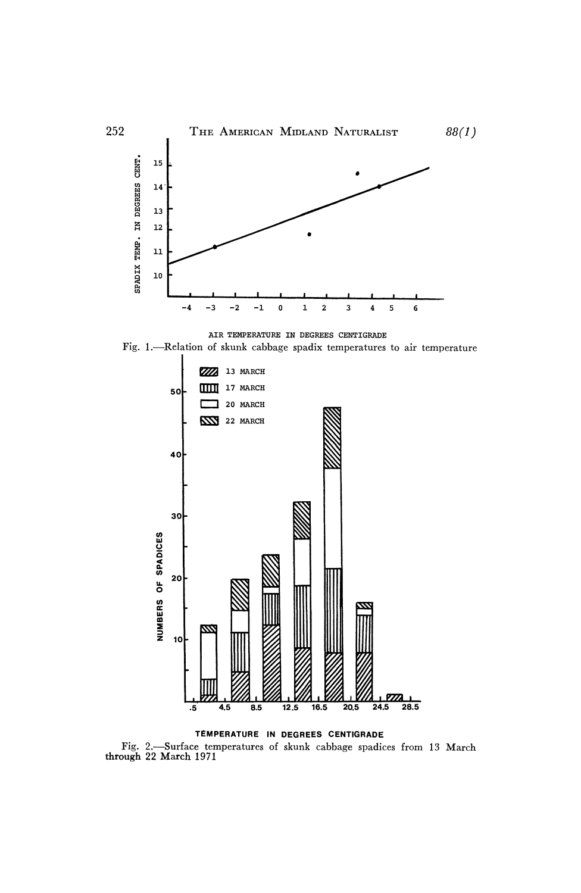

AIR TEMPERATURE IN DEGREES CENTIGRADE Fig. 1.-Relation of skunk cabbage spadix temperatures to air temperature



TEMPERATURE IN DEGREES CENTIGRADE Fig. 2.—Surface temperatures of skunk cabbage spadices from 13 March through 22 March 1971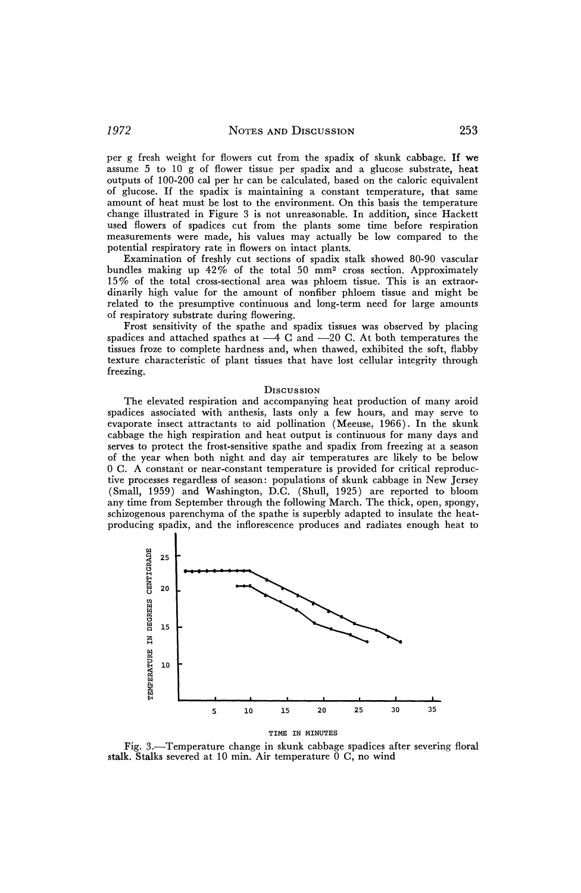**per g fresh weight for flowers cut from the spadix of skunk cabbage. If we assume 5 to 10 g of flower tissue per spadix and a glucose substrate, heat outputs of 100-200 cal per hr can be calculated, based on the caloric equivalent of glucose. If the spadix is maintaining a constant temperature, that same amount of heat must be lost to the environment. On this basis the temperature change illustrated in Figure 3 is. not unreasonable. In addition, since Hackett used flowers of spadices cut from the plants some time before respiration measurements were made, his values may actually be low compared to the potential respiratory rate in flowers on intact plants.** 

**Examination of freshly cut sections of spadix stalk showed 80-90 vascular bundles making up 42% of the total 50 mm2 cross section. Approximately 15% of the total cross-sectional area was phloem tissue. This is an extraordinarily high value for the amount of nonfiber phloem tissue and might be related to the presumptive continuous and long-term need for large amounts of respiratory substrate during flowering.** 

**Frost sensitivity of the spathe and spadix tissues was observed by placing**  spadices and attached spathes at  $-4$  C and  $-20$  C. At both temperatures the **tissues froze to complete hardness and, when thawed, exhibited the soft, flabby texture characteristic of plant tissues that have lost cellular integrity through freezing.** 

#### **DiscusSION**

**The elevated respiration and accompanying heat production of many aroid spadices associated with anthesis, lasts only a few hours, and may serve to evaporate insect attractants to aid pollination (Meeuse, 1966). In the skunk cabbage the high respiration and heat output is continuous for many days and serves to protect the frost-sensitive spathe and spadix from freezing at a season of the year when both night and day air temperatures are likely to be below 0 C. A constant or near-constant temperature is provided for critical reproductive processes regardless of season: populations of skunk cabbage in New Jersey (Small, 1959) and Washington, D.C. (Shull, 1925) are reported to bloom any time from September through the following March. The thick, open, spongy, schizogenous parenchyma of the spathe is superbly adapted to insulate the heatproducing spadix, and the inflorescence produces and radiates enough heat to** 



**Fig. 3.-Temperature change in skunk cabbage spadices after severing floral stalk. Stalks severed at 10 min. Air temperature 0 C, no wind**